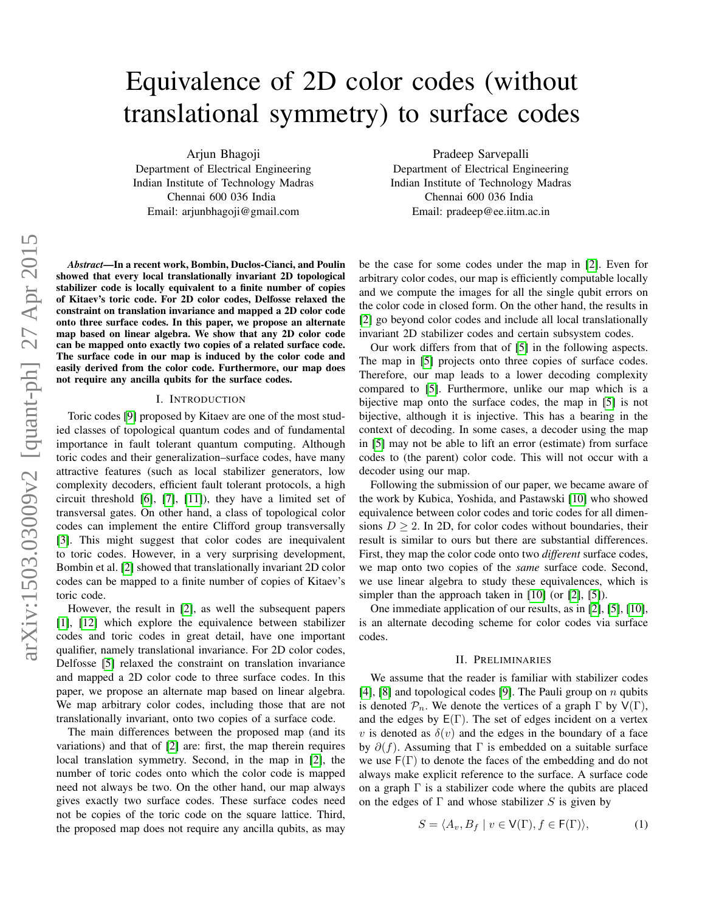# Equivalence of 2D color codes (without translational symmetry) to surface codes

Arjun Bhagoji Department of Electrical Engineering Indian Institute of Technology Madras Chennai 600 036 India

Email: arjunbhagoji@gmail.com

*Abstract*—In a recent work, Bombin, Duclos-Cianci, and Poulin showed that every local translationally invariant 2D topological stabilizer code is locally equivalent to a finite number of copies of Kitaev's toric code. For 2D color codes, Delfosse relaxed the constraint on translation invariance and mapped a 2D color code onto three surface codes. In this paper, we propose an alternate map based on linear algebra. We show that any 2D color code can be mapped onto exactly two copies of a related surface code. The surface code in our map is induced by the color code and easily derived from the color code. Furthermore, our map does not require any ancilla qubits for the surface codes.

### I. INTRODUCTION

Toric codes [\[9\]](#page-5-0) proposed by Kitaev are one of the most studied classes of topological quantum codes and of fundamental importance in fault tolerant quantum computing. Although toric codes and their generalization–surface codes, have many attractive features (such as local stabilizer generators, low complexity decoders, efficient fault tolerant protocols, a high circuit threshold [\[6\]](#page-5-1), [\[7\]](#page-5-2), [\[11\]](#page-5-3)), they have a limited set of transversal gates. On other hand, a class of topological color codes can implement the entire Clifford group transversally [\[3\]](#page-5-4). This might suggest that color codes are inequivalent to toric codes. However, in a very surprising development, Bombin et al. [\[2\]](#page-5-5) showed that translationally invariant 2D color codes can be mapped to a finite number of copies of Kitaev's toric code.

However, the result in [\[2\]](#page-5-5), as well the subsequent papers [\[1\]](#page-5-6), [\[12\]](#page-5-7) which explore the equivalence between stabilizer codes and toric codes in great detail, have one important qualifier, namely translational invariance. For 2D color codes, Delfosse [\[5\]](#page-5-8) relaxed the constraint on translation invariance and mapped a 2D color code to three surface codes. In this paper, we propose an alternate map based on linear algebra. We map arbitrary color codes, including those that are not translationally invariant, onto two copies of a surface code.

The main differences between the proposed map (and its variations) and that of [\[2\]](#page-5-5) are: first, the map therein requires local translation symmetry. Second, in the map in [\[2\]](#page-5-5), the number of toric codes onto which the color code is mapped need not always be two. On the other hand, our map always gives exactly two surface codes. These surface codes need not be copies of the toric code on the square lattice. Third, the proposed map does not require any ancilla qubits, as may

Pradeep Sarvepalli Department of Electrical Engineering Indian Institute of Technology Madras Chennai 600 036 India Email: pradeep@ee.iitm.ac.in

be the case for some codes under the map in [\[2\]](#page-5-5). Even for arbitrary color codes, our map is efficiently computable locally and we compute the images for all the single qubit errors on the color code in closed form. On the other hand, the results in [\[2\]](#page-5-5) go beyond color codes and include all local translationally invariant 2D stabilizer codes and certain subsystem codes.

Our work differs from that of [\[5\]](#page-5-8) in the following aspects. The map in [\[5\]](#page-5-8) projects onto three copies of surface codes. Therefore, our map leads to a lower decoding complexity compared to [\[5\]](#page-5-8). Furthermore, unlike our map which is a bijective map onto the surface codes, the map in [\[5\]](#page-5-8) is not bijective, although it is injective. This has a bearing in the context of decoding. In some cases, a decoder using the map in [\[5\]](#page-5-8) may not be able to lift an error (estimate) from surface codes to (the parent) color code. This will not occur with a decoder using our map.

Following the submission of our paper, we became aware of the work by Kubica, Yoshida, and Pastawski [\[10\]](#page-5-9) who showed equivalence between color codes and toric codes for all dimensions  $D \ge 2$ . In 2D, for color codes without boundaries, their result is similar to ours but there are substantial differences. First, they map the color code onto two *different* surface codes, we map onto two copies of the *same* surface code. Second, we use linear algebra to study these equivalences, which is simpler than the approach taken in [\[10\]](#page-5-9) (or [\[2\]](#page-5-5), [\[5\]](#page-5-8)).

One immediate application of our results, as in [\[2\]](#page-5-5), [\[5\]](#page-5-8), [\[10\]](#page-5-9), is an alternate decoding scheme for color codes via surface codes.

#### II. PRELIMINARIES

We assume that the reader is familiar with stabilizer codes [\[4\]](#page-5-10), [\[8\]](#page-5-11) and topological codes [\[9\]](#page-5-0). The Pauli group on  $n$  qubits is denoted  $\mathcal{P}_n$ . We denote the vertices of a graph  $\Gamma$  by  $V(\Gamma)$ , and the edges by  $E(\Gamma)$ . The set of edges incident on a vertex v is denoted as  $\delta(v)$  and the edges in the boundary of a face by  $\partial(f)$ . Assuming that  $\Gamma$  is embedded on a suitable surface we use  $F(\Gamma)$  to denote the faces of the embedding and do not always make explicit reference to the surface. A surface code on a graph  $\Gamma$  is a stabilizer code where the qubits are placed on the edges of  $\Gamma$  and whose stabilizer S is given by

$$
S = \langle A_v, B_f \mid v \in V(\Gamma), f \in F(\Gamma) \rangle,
$$
 (1)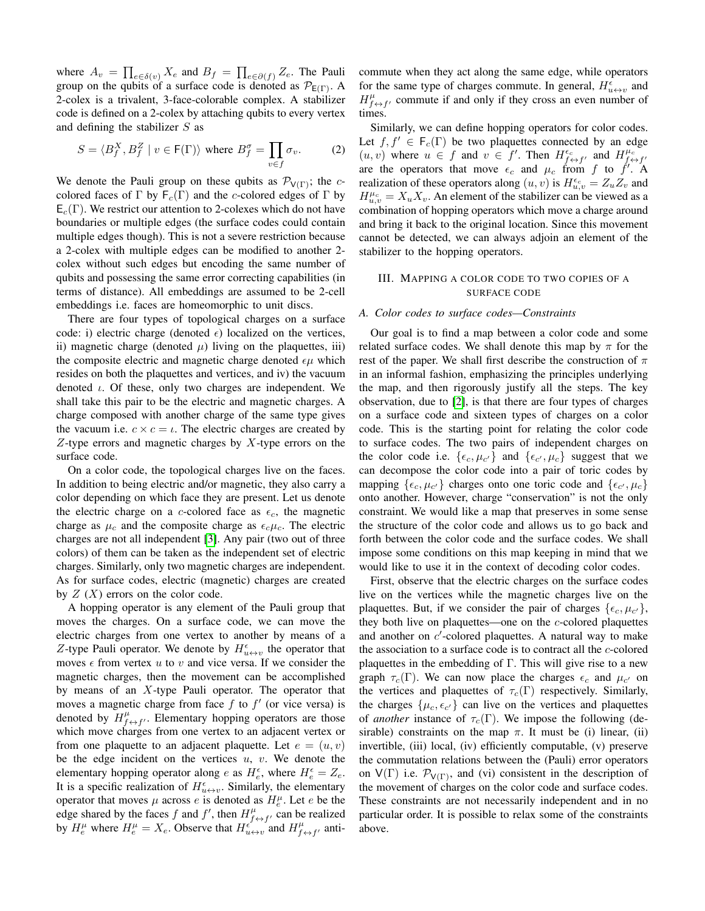where  $A_v = \prod_{e \in \delta(v)} X_e$  and  $B_f = \prod_{e \in \partial(f)} Z_e$ . The Pauli group on the qubits of a surface code is denoted as  $\mathcal{P}_{E(\Gamma)}$ . A 2-colex is a trivalent, 3-face-colorable complex. A stabilizer code is defined on a 2-colex by attaching qubits to every vertex and defining the stabilizer  $S$  as

$$
S = \langle B_f^X, B_f^Z \mid v \in \mathsf{F}(\Gamma) \rangle \text{ where } B_f^{\sigma} = \prod_{v \in f} \sigma_v. \tag{2}
$$

We denote the Pauli group on these qubits as  $\mathcal{P}_{V(\Gamma)}$ ; the ccolored faces of  $\Gamma$  by  $\mathsf{F}_c(\Gamma)$  and the c-colored edges of  $\Gamma$  by  $E_c(\Gamma)$ . We restrict our attention to 2-colexes which do not have boundaries or multiple edges (the surface codes could contain multiple edges though). This is not a severe restriction because a 2-colex with multiple edges can be modified to another 2 colex without such edges but encoding the same number of qubits and possessing the same error correcting capabilities (in terms of distance). All embeddings are assumed to be 2-cell embeddings i.e. faces are homeomorphic to unit discs.

There are four types of topological charges on a surface code: i) electric charge (denoted  $\epsilon$ ) localized on the vertices, ii) magnetic charge (denoted  $\mu$ ) living on the plaquettes, iii) the composite electric and magnetic charge denoted  $\epsilon \mu$  which resides on both the plaquettes and vertices, and iv) the vacuum denoted  $\iota$ . Of these, only two charges are independent. We shall take this pair to be the electric and magnetic charges. A charge composed with another charge of the same type gives the vacuum i.e.  $c \times c = \iota$ . The electric charges are created by  $Z$ -type errors and magnetic charges by  $X$ -type errors on the surface code.

On a color code, the topological charges live on the faces. In addition to being electric and/or magnetic, they also carry a color depending on which face they are present. Let us denote the electric charge on a c-colored face as  $\epsilon_c$ , the magnetic charge as  $\mu_c$  and the composite charge as  $\epsilon_c \mu_c$ . The electric charges are not all independent [\[3\]](#page-5-4). Any pair (two out of three colors) of them can be taken as the independent set of electric charges. Similarly, only two magnetic charges are independent. As for surface codes, electric (magnetic) charges are created by  $Z(X)$  errors on the color code.

A hopping operator is any element of the Pauli group that moves the charges. On a surface code, we can move the electric charges from one vertex to another by means of a Z-type Pauli operator. We denote by  $H_{u\leftrightarrow v}^{\epsilon}$  the operator that moves  $\epsilon$  from vertex u to v and vice versa. If we consider the magnetic charges, then the movement can be accomplished by means of an X-type Pauli operator. The operator that moves a magnetic charge from face  $f$  to  $f'$  (or vice versa) is denoted by  $H_{f \leftrightarrow f'}^{\mu}$ . Elementary hopping operators are those which move charges from one vertex to an adjacent vertex or from one plaquette to an adjacent plaquette. Let  $e = (u, v)$ be the edge incident on the vertices  $u, v$ . We denote the elementary hopping operator along e as  $H_e^{\epsilon}$ , where  $H_e^{\epsilon} = Z_e$ . It is a specific realization of  $H_{u \leftrightarrow v}^{\epsilon}$ . Similarly, the elementary operator that moves  $\mu$  across e is denoted as  $H_e^{\mu}$ . Let e be the edge shared by the faces f and f', then  $H_{f \leftrightarrow f'}^{\mu}$  can be realized by  $H_e^{\mu}$  where  $H_e^{\mu} = X_e$ . Observe that  $H_{u \leftrightarrow v}^{\epsilon}$  and  $H_{f \leftrightarrow f'}^{\mu}$  anticommute when they act along the same edge, while operators for the same type of charges commute. In general,  $H_{u\leftrightarrow v}^{\epsilon}$  and  $H_{f \leftrightarrow f'}^{\mu}$  commute if and only if they cross an even number of times.

Similarly, we can define hopping operators for color codes. Let  $f, f' \in F_c(\Gamma)$  be two plaquettes connected by an edge  $(u, v)$  where  $u \in f$  and  $v \in f'$ . Then  $H_{f \leftrightarrow f'}^{\epsilon_c}$  and  $H_{f \leftrightarrow f'}^{\mu_c}$ are the operators that move  $\epsilon_c$  and  $\mu_c$  from f to f'. A realization of these operators along  $(u, v)$  is  $H_{u,v}^{\epsilon_c} = Z_u Z_v$  and  $H_{u,v}^{\mu_c} = X_u X_v$ . An element of the stabilizer can be viewed as a combination of hopping operators which move a charge around and bring it back to the original location. Since this movement cannot be detected, we can always adjoin an element of the stabilizer to the hopping operators.

# III. MAPPING A COLOR CODE TO TWO COPIES OF A SURFACE CODE

#### *A. Color codes to surface codes—Constraints*

Our goal is to find a map between a color code and some related surface codes. We shall denote this map by  $\pi$  for the rest of the paper. We shall first describe the construction of  $\pi$ in an informal fashion, emphasizing the principles underlying the map, and then rigorously justify all the steps. The key observation, due to [\[2\]](#page-5-5), is that there are four types of charges on a surface code and sixteen types of charges on a color code. This is the starting point for relating the color code to surface codes. The two pairs of independent charges on the color code i.e.  $\{\epsilon_c, \mu_{c'}\}$  and  $\{\epsilon_{c'}, \mu_c\}$  suggest that we can decompose the color code into a pair of toric codes by mapping  $\{\epsilon_c, \mu_{c'}\}$  charges onto one toric code and  $\{\epsilon_{c'}, \mu_c\}$ onto another. However, charge "conservation" is not the only constraint. We would like a map that preserves in some sense the structure of the color code and allows us to go back and forth between the color code and the surface codes. We shall impose some conditions on this map keeping in mind that we would like to use it in the context of decoding color codes.

First, observe that the electric charges on the surface codes live on the vertices while the magnetic charges live on the plaquettes. But, if we consider the pair of charges  $\{\epsilon_c, \mu_{c'}\},$ they both live on plaquettes—one on the c-colored plaquettes and another on  $c'$ -colored plaquettes. A natural way to make the association to a surface code is to contract all the  $c$ -colored plaquettes in the embedding of  $\Gamma$ . This will give rise to a new graph  $\tau_c(\Gamma)$ . We can now place the charges  $\epsilon_c$  and  $\mu_{c'}$  on the vertices and plaquettes of  $\tau_c(\Gamma)$  respectively. Similarly, the charges  $\{\mu_c, \epsilon_{c'}\}$  can live on the vertices and plaquettes of *another* instance of  $\tau_c(\Gamma)$ . We impose the following (desirable) constraints on the map  $\pi$ . It must be (i) linear, (ii) invertible, (iii) local, (iv) efficiently computable, (v) preserve the commutation relations between the (Pauli) error operators on  $V(\Gamma)$  i.e.  $\mathcal{P}_{V(\Gamma)}$ , and (vi) consistent in the description of the movement of charges on the color code and surface codes. These constraints are not necessarily independent and in no particular order. It is possible to relax some of the constraints above.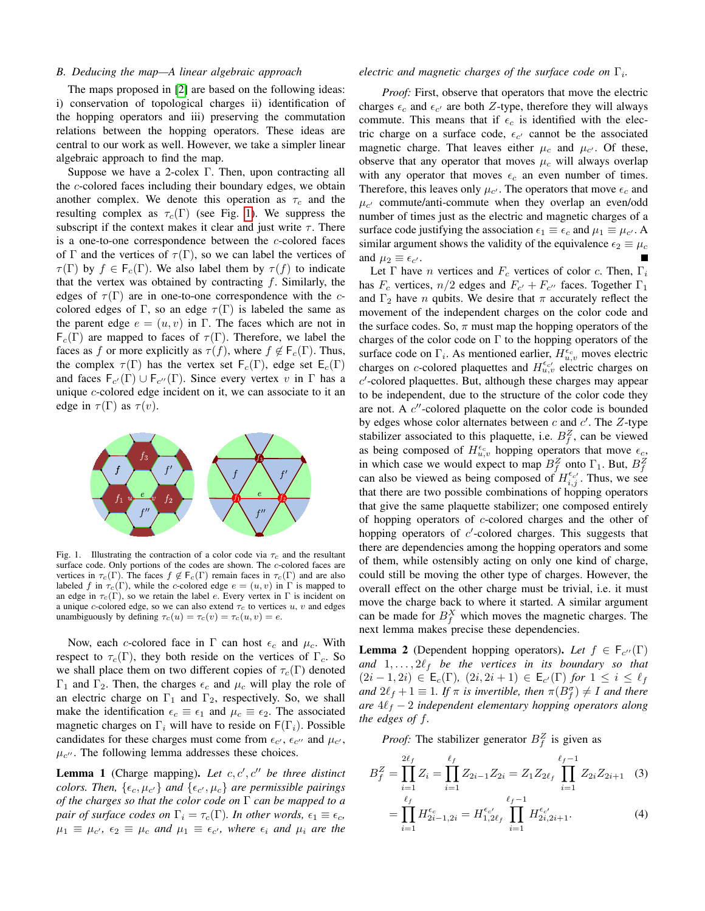## *B. Deducing the map—A linear algebraic approach*

The maps proposed in [\[2\]](#page-5-5) are based on the following ideas: i) conservation of topological charges ii) identification of the hopping operators and iii) preserving the commutation relations between the hopping operators. These ideas are central to our work as well. However, we take a simpler linear algebraic approach to find the map.

Suppose we have a 2-colex Γ. Then, upon contracting all the c-colored faces including their boundary edges, we obtain another complex. We denote this operation as  $\tau_c$  and the resulting complex as  $\tau_c(\Gamma)$  (see Fig. [1\)](#page-2-0). We suppress the subscript if the context makes it clear and just write  $\tau$ . There is a one-to-one correspondence between the  $c$ -colored faces of Γ and the vertices of  $\tau(\Gamma)$ , so we can label the vertices of  $\tau(\Gamma)$  by  $f \in F_c(\Gamma)$ . We also label them by  $\tau(f)$  to indicate that the vertex was obtained by contracting  $f$ . Similarly, the edges of  $\tau(\Gamma)$  are in one-to-one correspondence with the ccolored edges of Γ, so an edge  $\tau(\Gamma)$  is labeled the same as the parent edge  $e = (u, v)$  in Γ. The faces which are not in  $F_c(\Gamma)$  are mapped to faces of  $\tau(\Gamma)$ . Therefore, we label the faces as f or more explicitly as  $\tau(f)$ , where  $f \notin \mathsf{F}_c(\Gamma)$ . Thus, the complex  $\tau(\Gamma)$  has the vertex set  $F_c(\Gamma)$ , edge set  $E_c(\Gamma)$ and faces  $F_{c'}(\Gamma) \cup F_{c''}(\Gamma)$ . Since every vertex v in  $\Gamma$  has a unique c-colored edge incident on it, we can associate to it an edge in  $\tau(\Gamma)$  as  $\tau(v)$ .



<span id="page-2-0"></span>Fig. 1. Illustrating the contraction of a color code via  $\tau_c$  and the resultant surface code. Only portions of the codes are shown. The c-colored faces are vertices in  $\tau_c(\Gamma)$ . The faces  $f \notin F_c(\Gamma)$  remain faces in  $\tau_c(\Gamma)$  and are also labeled f in  $\tau_c(\Gamma)$ , while the c-colored edge  $e = (u, v)$  in  $\Gamma$  is mapped to an edge in  $\tau_c(\Gamma)$ , so we retain the label e. Every vertex in  $\Gamma$  is incident on a unique c-colored edge, so we can also extend  $\tau_c$  to vertices u, v and edges unambiguously by defining  $\tau_c(u) = \tau_c(v) = \tau_c(u, v) = e$ .

Now, each c-colored face in  $\Gamma$  can host  $\epsilon_c$  and  $\mu_c$ . With respect to  $\tau_c(\Gamma)$ , they both reside on the vertices of  $\Gamma_c$ . So we shall place them on two different copies of  $\tau_c(\Gamma)$  denoted Γ<sub>1</sub> and Γ<sub>2</sub>. Then, the charges  $\epsilon_c$  and  $\mu_c$  will play the role of an electric charge on  $\Gamma_1$  and  $\Gamma_2$ , respectively. So, we shall make the identification  $\epsilon_c \equiv \epsilon_1$  and  $\mu_c \equiv \epsilon_2$ . The associated magnetic charges on  $\Gamma_i$  will have to reside on  $\Gamma(\Gamma_i)$ . Possible candidates for these charges must come from  $\epsilon_{c'}$ ,  $\epsilon_{c''}$  and  $\mu_{c'}$ ,  $\mu_{c}$ . The following lemma addresses these choices.

<span id="page-2-1"></span>**Lemma 1** (Charge mapping). Let  $c, c', c''$  be three distinct *colors. Then,*  $\{\epsilon_c, \mu_{c'}\}$  *and*  $\{\epsilon_{c'}, \mu_c\}$  *are permissible pairings of the charges so that the color code on* Γ *can be mapped to a pair of surface codes on*  $\Gamma_i = \tau_c(\Gamma)$ *. In other words,*  $\epsilon_1 \equiv \epsilon_c$ *,*  $\mu_1 \equiv \mu_c$ ,  $\epsilon_2 \equiv \mu_c$  and  $\mu_1 \equiv \epsilon_{c'}$ , where  $\epsilon_i$  and  $\mu_i$  are the

# *electric and magnetic charges of the surface code on*  $\Gamma_i$ .

*Proof:* First, observe that operators that move the electric charges  $\epsilon_c$  and  $\epsilon_{c'}$  are both Z-type, therefore they will always commute. This means that if  $\epsilon_c$  is identified with the electric charge on a surface code,  $\epsilon_{c'}$  cannot be the associated magnetic charge. That leaves either  $\mu_c$  and  $\mu_{c'}$ . Of these, observe that any operator that moves  $\mu_c$  will always overlap with any operator that moves  $\epsilon_c$  an even number of times. Therefore, this leaves only  $\mu_{c'}$ . The operators that move  $\epsilon_c$  and  $\mu_{c'}$  commute/anti-commute when they overlap an even/odd number of times just as the electric and magnetic charges of a surface code justifying the association  $\epsilon_1 \equiv \epsilon_c$  and  $\mu_1 \equiv \mu_{c'}$ . A similar argument shows the validity of the equivalence  $\epsilon_2 \equiv \mu_c$ and  $\mu_2 \equiv \epsilon_{c'}$ .

Let  $\Gamma$  have *n* vertices and  $F_c$  vertices of color *c*. Then,  $\Gamma_i$ has  $F_c$  vertices,  $n/2$  edges and  $F_{c'} + F_{c''}$  faces. Together  $\Gamma_1$ and  $\Gamma_2$  have *n* qubits. We desire that  $\pi$  accurately reflect the movement of the independent charges on the color code and the surface codes. So,  $\pi$  must map the hopping operators of the charges of the color code on  $\Gamma$  to the hopping operators of the surface code on  $\Gamma_i$ . As mentioned earlier,  $H_{u,v}^{\epsilon_c}$  moves electric charges on *c*-colored plaquettes and  $H_{u,v}^{\epsilon_{c'}}$  electric charges on  $c'$ -colored plaquettes. But, although these charges may appear to be independent, due to the structure of the color code they are not. A  $c''$ -colored plaquette on the color code is bounded by edges whose color alternates between  $c$  and  $c'$ . The  $Z$ -type stabilizer associated to this plaquette, i.e.  $B_f^Z$ , can be viewed as being composed of  $H_{u,v}^{\epsilon_c}$  hopping operators that move  $\epsilon_c$ , in which case we would expect to map  $B_f^Z$  onto  $\Gamma_1$ . But,  $B_f^Z$ can also be viewed as being composed of  $H_{i,j}^{\epsilon_{c'}}$ . Thus, we see that there are two possible combinations of hopping operators that give the same plaquette stabilizer; one composed entirely of hopping operators of c-colored charges and the other of hopping operators of  $c'$ -colored charges. This suggests that there are dependencies among the hopping operators and some of them, while ostensibly acting on only one kind of charge, could still be moving the other type of charges. However, the overall effect on the other charge must be trivial, i.e. it must move the charge back to where it started. A similar argument can be made for  $B_f^X$  which moves the magnetic charges. The next lemma makes precise these dependencies.

<span id="page-2-2"></span>**Lemma 2** (Dependent hopping operators). Let  $f \in F_{c''}(\Gamma)$ and  $1, \ldots, 2\ell_f$  be the vertices in its boundary so that  $(2i-1, 2i)$  ∈ **E**<sub>c</sub>(**Γ**),  $(2i, 2i+1)$  ∈ **E**<sub>c'</sub>(**Γ**) *for* 1 ≤ *i* ≤  $\ell_f$ *and*  $2\ell_f + 1 \equiv 1$ *. If*  $\pi$  *is invertible, then*  $\pi(B_f^{\sigma}) \neq I$  *and there are*  $4\ell_f - 2$  *independent elementary hopping operators along the edges of* f*.*

*Proof:* The stabilizer generator  $B_f^Z$  is given as

$$
B_f^Z = \prod_{i=1}^{2\ell_f} Z_i = \prod_{i=1}^{\ell_f} Z_{2i-1} Z_{2i} = Z_1 Z_{2\ell_f} \prod_{i=1}^{\ell_f - 1} Z_{2i} Z_{2i+1}
$$
 (3)  

$$
= \prod_{i=1}^{\ell_f} H_{2i-1,2i}^{\epsilon_c} = H_{1,2\ell_f}^{\epsilon_{c'}} \prod_{i=1}^{\ell_f - 1} H_{2i,2i+1}^{\epsilon_{c'}}.
$$
 (4)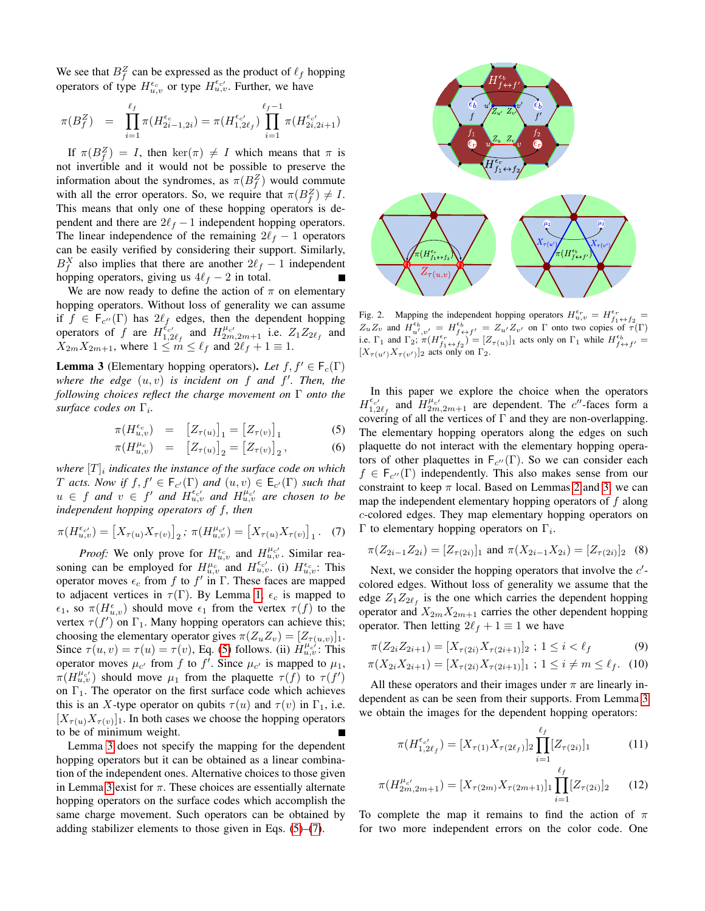We see that  $B_f^Z$  can be expressed as the product of  $\ell_f$  hopping operators of type  $H_{u,v}^{\epsilon_c}$  or type  $H_{u,v}^{\epsilon_{c'}}$ . Further, we have

<span id="page-3-0"></span>
$$
\pi(B_f^Z) = \prod_{i=1}^{\ell_f} \pi(H_{2i-1,2i}^{\epsilon_c}) = \pi(H_{1,2\ell_f}^{\epsilon_{c'}}) \prod_{i=1}^{\ell_f-1} \pi(H_{2i,2i+1}^{\epsilon_{c'}})
$$

If  $\pi(B_f^Z) = I$ , then ker $(\pi) \neq I$  which means that  $\pi$  is not invertible and it would not be possible to preserve the information about the syndromes, as  $\pi(B_f^Z)$  would commute with all the error operators. So, we require that  $\pi(B_f^Z) \neq I$ . This means that only one of these hopping operators is dependent and there are  $2\ell_f - 1$  independent hopping operators. The linear independence of the remaining  $2\ell_f - 1$  operators can be easily verified by considering their support. Similarly,  $B_f^X$  also implies that there are another  $2\ell_f - 1$  independent hopping operators, giving us  $4\ell_f - 2$  in total.

We are now ready to define the action of  $\pi$  on elementary hopping operators. Without loss of generality we can assume if  $f \in F_{c''}(\Gamma)$  has  $2\ell_f$  edges, then the dependent hopping operators of f are  $H_{1,2\ell_f}^{\xi_{c'}}$  and  $H_{2m,2m+1}^{\mu_{c'}}$  i.e.  $Z_1Z_{2\ell_f}$  and  $X_{2m}X_{2m+1}$ , where  $1 \leq m \leq \ell_f$  and  $2\ell_f + 1 \equiv 1$ .

<span id="page-3-1"></span>**Lemma 3** (Elementary hopping operators). Let  $f, f' \in F_c(\Gamma)$ *where the edge* (u, v) *is incident on* f *and* f 0 *. Then, the following choices reflect the charge movement on* Γ *onto the surface codes on* Γ<sup>i</sup> *.*

$$
\pi(H_{u,v}^{\epsilon_c}) = \left[Z_{\tau(u)}\right]_1 = \left[Z_{\tau(v)}\right]_1 \tag{5}
$$

$$
\pi(H_{u,v}^{\mu_c}) = [Z_{\tau(u)}]_2 = [Z_{\tau(v)}]_2, \quad (6)
$$

where  $[T]_i$  indicates the instance of the surface code on which T *acts.* Now if  $f, f' \in F_{c'}(\Gamma)$  and  $(u, v) \in E_{c'}(\Gamma)$  such that  $u \in f$  and  $v \in f'$  and  $H_{u,v}^{\epsilon_{c'}}$  and  $H_{u,v}^{\mu_{c'}}$  are chosen to be *independent hopping operators of* f*, then*

$$
\pi(H_{u,v}^{\epsilon_{c'}}) = [X_{\tau(u)} X_{\tau(v)}]_2; \ \pi(H_{u,v}^{\mu_{c'}}) = [X_{\tau(u)} X_{\tau(v)}]_1. \tag{7}
$$

<span id="page-3-2"></span>*Proof:* We only prove for  $H_{u,v}^{\epsilon_c}$  and  $H_{u,v}^{\mu_c}$ . Similar reasoning can be employed for  $H_{u,v}^{\mu_c}$  and  $H_{u,v}^{\epsilon_{c'}}$  (i)  $H_{u,v}^{\epsilon_c}$ : This operator moves  $\epsilon_c$  from f to f' in  $\Gamma$ . These faces are mapped to adjacent vertices in  $\tau(\Gamma)$ . By Lemma [1,](#page-2-1)  $\epsilon_c$  is mapped to  $\epsilon_1$ , so  $\pi(H_{u,v}^{\epsilon})$  should move  $\epsilon_1$  from the vertex  $\tau(f)$  to the vertex  $\tau(f')$  on  $\Gamma_1$ . Many hopping operators can achieve this; choosing the elementary operator gives  $\pi(Z_u Z_v) = [Z_{\tau(u,v)}]_1$ . Since  $\tau(u, v) = \tau(u) = \tau(v)$ , Eq. [\(5\)](#page-3-0) follows. (ii)  $H_{u, v}^{\mu_c}$ . This operator moves  $\mu_{c'}$  from f to f'. Since  $\mu_{c'}$  is mapped to  $\mu_1$ ,  $\pi(H_{u,v}^{\mu_{c'}})$  should move  $\mu_1$  from the plaquette  $\tau(f)$  to  $\tau(f')$ on  $\Gamma_1$ . The operator on the first surface code which achieves this is an X-type operator on qubits  $\tau(u)$  and  $\tau(v)$  in  $\Gamma_1$ , i.e.  $[X_{\tau(u)}X_{\tau(v)}]_1$ . In both cases we choose the hopping operators to be of minimum weight.

Lemma [3](#page-3-1) does not specify the mapping for the dependent hopping operators but it can be obtained as a linear combination of the independent ones. Alternative choices to those given in Lemma [3](#page-3-1) exist for  $\pi$ . These choices are essentially alternate hopping operators on the surface codes which accomplish the same charge movement. Such operators can be obtained by adding stabilizer elements to those given in Eqs. [\(5\)](#page-3-0)–[\(7\)](#page-3-2).



Fig. 2. Mapping the independent hopping operators  $H_{u,v}^{\epsilon_r} = H_{f_1 \leftrightarrow f_2}^{\epsilon_r}$  $Z_u Z_v$  and  $H_{u',v'}^{\epsilon_b} = H_{f \leftrightarrow f'}^{\epsilon_b} = Z_{u'} Z_{v'}$  on  $\Gamma$  onto two copies of  $\tau(\Gamma)$  $\mathbb{E}_{u} \mathbb{E}_{v}$  and  $\mathbb{E}_{u',v'} = \mathbb{E}_{u'+v} f' = \mathbb{E}_{u'} \mathbb{E}_{v'}$  on T only two copies of  $\mathbb{E}_{u+1}$ <br>i.e.  $\Gamma_1$  and  $\Gamma_2$ ;  $\pi(H_{f_1 \leftrightarrow f_2}^{\epsilon} ) = [Z_{\tau(u)}]_1$  acts only on  $\Gamma_1$  while  $H_{f \leftrightarrow f'}^{\epsilon} =$  $[X_{\tau(u')}X_{\tau(v')}]_2$  acts only on  $\Gamma_2$ .

In this paper we explore the choice when the operators  $H_{1,2\ell_f}^{\epsilon_{c'}}$  and  $H_{2m,2m+1}^{\mu_{c'}}$  are dependent. The c''-faces form a covering of all the vertices of  $\Gamma$  and they are non-overlapping. The elementary hopping operators along the edges on such plaquette do not interact with the elementary hopping operators of other plaquettes in  $F_{c''}(\Gamma)$ . So we can consider each  $f \in F_{c''}(\Gamma)$  independently. This also makes sense from our constraint to keep  $\pi$  local. Based on Lemmas [2](#page-2-2) and [3,](#page-3-1) we can map the independent elementary hopping operators of  $f$  along c-colored edges. They map elementary hopping operators on Γ to elementary hopping operators on  $Γ_i$ .

<span id="page-3-3"></span>
$$
\pi(Z_{2i-1}Z_{2i}) = [Z_{\tau(2i)}]_1 \text{ and } \pi(X_{2i-1}X_{2i}) = [Z_{\tau(2i)}]_2 \quad (8)
$$

Next, we consider the hopping operators that involve the  $c'$ colored edges. Without loss of generality we assume that the edge  $Z_1 Z_{2\ell_f}$  is the one which carries the dependent hopping operator and  $X_{2m}X_{2m+1}$  carries the other dependent hopping operator. Then letting  $2\ell_f + 1 \equiv 1$  we have

$$
\pi(Z_{2i}Z_{2i+1}) = [X_{\tau(2i)}X_{\tau(2i+1)}]_2 ; 1 \le i < \ell_f \tag{9}
$$

$$
\pi(X_{2i}X_{2i+1}) = [X_{\tau(2i)}X_{\tau(2i+1)}]_1 ; 1 \le i \neq m \le \ell_f. \tag{10}
$$

All these operators and their images under  $\pi$  are linearly independent as can be seen from their supports. From Lemma [3](#page-3-1) we obtain the images for the dependent hopping operators:

<span id="page-3-5"></span><span id="page-3-4"></span>
$$
\pi(H_{1,2\ell_f}^{\epsilon_{c'}}) = [X_{\tau(1)}X_{\tau(2\ell_f)}]_2 \prod_{i=1}^{\ell_f} [Z_{\tau(2i)}]_1 \tag{11}
$$

$$
\pi(H_{2m,2m+1}^{\mu_{c'}}) = [X_{\tau(2m)} X_{\tau(2m+1)}]_1 \prod_{i=1}^{\ell_f} [Z_{\tau(2i)}]_2 \qquad (12)
$$

To complete the map it remains to find the action of  $\pi$ for two more independent errors on the color code. One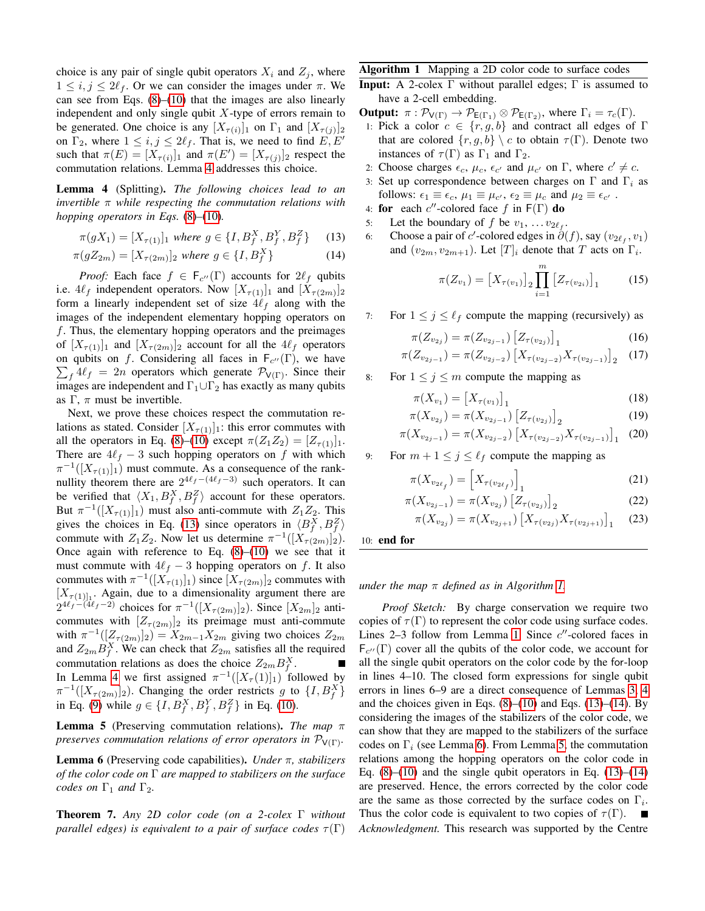choice is any pair of single qubit operators  $X_i$  and  $Z_j$ , where  $1 \leq i, j \leq 2\ell_f$ . Or we can consider the images under  $\pi$ . We can see from Eqs.  $(8)$ – $(10)$  that the images are also linearly independent and only single qubit  $X$ -type of errors remain to be generated. One choice is any  $[X_{\tau(i)}]_1$  on  $\Gamma_1$  and  $[X_{\tau(j)}]_2$ on  $\Gamma_2$ , where  $1 \leq i, j \leq 2\ell_f$ . That is, we need to find  $E, E'$ such that  $\pi(E) = [X_{\tau(i)}]_1$  and  $\pi(E') = [X_{\tau(j)}]_2$  respect the commutation relations. Lemma [4](#page-4-0) addresses this choice.

<span id="page-4-0"></span>Lemma 4 (Splitting). *The following choices lead to an invertible* π *while respecting the commutation relations with hopping operators in Eqs.* [\(8\)](#page-3-3)*–*[\(10\)](#page-3-4)*.*

$$
\pi(gX_1) = [X_{\tau(1)}]_1 \text{ where } g \in \{I, B_f^X, B_f^Y, B_f^Z\} \tag{13}
$$

$$
\pi(gZ_{2m}) = [X_{\tau(2m)}]_2 \text{ where } g \in \{I, B_f^X\} \tag{14}
$$

*Proof:* Each face  $f \in F_{c''}(\Gamma)$  accounts for  $2\ell_f$  qubits i.e.  $4\ell_f$  independent operators. Now  $[X_{\tau(1)}]_1$  and  $[X_{\tau(2m)}]_2$ form a linearly independent set of size  $4\ell_f$  along with the images of the independent elementary hopping operators on  $f$ . Thus, the elementary hopping operators and the preimages of  $[X_{\tau(1)}]_1$  and  $[X_{\tau(2m)}]_2$  account for all the  $4\ell_f$  operators on qubits on f. Considering all faces in  $F_{c''}(\Gamma)$ , we have  $\sum_f 4\ell_f = 2n$  operators which generate  $\mathcal{P}_{V(\Gamma)}$ . Since their  $f f^4 f = 2n$  operators which generate  $\mathcal{P}_{V(\Gamma)}$ . Since their images are independent and  $\Gamma_1 \cup \Gamma_2$  has exactly as many qubits as  $\Gamma$ ,  $\pi$  must be invertible.

Next, we prove these choices respect the commutation relations as stated. Consider  $[X_{\tau(1)}]_1$ : this error commutes with all the operators in Eq. [\(8\)](#page-3-3)–[\(10\)](#page-3-4) except  $\pi(Z_1Z_2) = [Z_{\tau(1)}]_1$ . There are  $4\ell_f - 3$  such hopping operators on f with which  $\pi^{-1}([X_{\tau(1)}]_1)$  must commute. As a consequence of the ranknullity theorem there are  $2^{4\ell_f - (4\ell_f - 3)}$  such operators. It can be verified that  $\langle X_1, B_f^X, B_f^Z \rangle$  account for these operators. But  $\pi^{-1}([X_{\tau(1)}]_1)$  must also anti-commute with  $Z_1Z_2$ . This gives the choices in Eq. [\(13\)](#page-4-1) since operators in  $\langle B_f^X, B_f^Z \rangle$ commute with  $Z_1 Z_2$ . Now let us determine  $\pi^{-1}([X_{\tau(2m)}]_2)$ . Once again with reference to Eq.  $(8)$ – $(10)$  we see that it must commute with  $4\ell_f - 3$  hopping operators on f. It also commutes with  $\pi^{-1}([X_{\tau(1)}]_1)$  since  $[X_{\tau(2m)}]_2$  commutes with  $[X_{\tau(1)]_1}$ . Again, due to a dimensionality argument there are  $2^{4\ell_f - (4\ell_f - 2)}$  choices for  $\pi^{-1}([X_{\tau(2m)}]_2)$ . Since  $[X_{2m}]_2$  anticommutes with  $[Z_{\tau(2m)}]_2$  its preimage must anti-commute with  $\pi^{-1}([Z_{\tau(2m)}]_2) = X_{2m-1}X_{2m}$  giving two choices  $Z_{2m}$ and  $Z_{2m}B_f^X$ . We can check that  $Z_{2m}$  satisfies all the required commutation relations as does the choice  $Z_{2m}B_f^X$ . In Lemma [4](#page-4-0) we first assigned  $\pi^{-1}([X_{\tau}(1)]_1)$  followed by  $\pi^{-1}([X_{\tau(2m)}]_2)$ . Changing the order restricts g to  $\{I, B_f^X\}$ in Eq. [\(9\)](#page-3-5) while  $g \in \{I, B_f^X, B_f^Y, B_f^Z\}$  in Eq. [\(10\)](#page-3-4).

<span id="page-4-5"></span>Lemma 5 (Preserving commutation relations). *The map* π *preserves commutation relations of error operators in*  $\mathcal{P}_{V(\Gamma)}$ *.* 

<span id="page-4-4"></span>Lemma 6 (Preserving code capabilities). *Under* π*, stabilizers of the color code on* Γ *are mapped to stabilizers on the surface codes on*  $\Gamma_1$  *and*  $\Gamma_2$ *.* 

Theorem 7. *Any 2D color code (on a 2-colex* Γ *without parallel edges) is equivalent to a pair of surface codes*  $\tau(\Gamma)$ 

# <span id="page-4-2"></span>Algorithm 1 Mapping a 2D color code to surface codes

- **Input:** A 2-colex  $\Gamma$  without parallel edges;  $\Gamma$  is assumed to have a 2-cell embedding.
- **Output:**  $\pi : \mathcal{P}_{V(\Gamma)} \to \mathcal{P}_{E(\Gamma_1)} \otimes \mathcal{P}_{E(\Gamma_2)}$ , where  $\Gamma_i = \tau_c(\Gamma)$ . 1: Pick a color  $c \in \{r, g, b\}$  and contract all edges of Γ that are colored  $\{r, g, b\} \setminus c$  to obtain  $\tau(\Gamma)$ . Denote two instances of  $\tau(\Gamma)$  as  $\Gamma_1$  and  $\Gamma_2$ .
- 2: Choose charges  $\epsilon_c$ ,  $\mu_c$ ,  $\epsilon_{c'}$  and  $\mu_{c'}$  on  $\Gamma$ , where  $c' \neq c$ .
- 3: Set up correspondence between charges on  $\Gamma$  and  $\Gamma_i$  as follows:  $\epsilon_1 \equiv \epsilon_c$ ,  $\mu_1 \equiv \mu_{c'}$ ,  $\epsilon_2 \equiv \mu_c$  and  $\mu_2 \equiv \epsilon_{c'}$ .
- 4: for each c''-colored face f in  $F(\Gamma)$  do
- <span id="page-4-1"></span>5: Let the boundary of f be  $v_1, \ldots v_{2\ell_f}$ .
- <span id="page-4-3"></span>6: Choose a pair of c'-colored edges in  $\dot{\partial}(f)$ , say  $(v_{2\ell_f}, v_1)$ and  $(v_{2m}, v_{2m+1})$ . Let  $[T]_i$  denote that T acts on  $\Gamma_i$ .

$$
\pi(Z_{v_1}) = [X_{\tau(v_1)}]_2 \prod_{i=1}^m [Z_{\tau(v_{2i})}]_1 \tag{15}
$$

7: For  $1 \leq j \leq \ell_f$  compute the mapping (recursively) as

$$
\pi(Z_{v_{2j}}) = \pi(Z_{v_{2j-1}}) \left[ Z_{\tau(v_{2j})} \right]_1 \tag{16}
$$

$$
\pi(Z_{v_{2j-1}}) = \pi(Z_{v_{2j-2}}) \left[ X_{\tau(v_{2j-2})} X_{\tau(v_{2j-1})} \right]_2 \quad (17)
$$

8: For  $1 \leq j \leq m$  compute the mapping as

$$
\pi(X_{v_1}) = [X_{\tau(v_1)}]_1 \tag{18}
$$

$$
\pi(X_{v_{2j}}) = \pi(X_{v_{2j-1}}) \left[ Z_{\tau(v_{2j})} \right]_2 \tag{19}
$$

$$
\pi(X_{v_{2j-1}}) = \pi(X_{v_{2j-2}}) \left[ X_{\tau(v_{2j-2})} X_{\tau(v_{2j-1})} \right]_1 \tag{20}
$$

9: For  $m + 1 \le j \le \ell_f$  compute the mapping as

$$
\pi(X_{v_{2\ell_f}}) = \left[X_{\tau(v_{2\ell_f})}\right]_1\tag{21}
$$

$$
\pi(X_{v_{2j-1}}) = \pi(X_{v_{2j}}) [Z_{\tau(v_{2j})}]_2
$$
\n(22)

$$
\pi(X_{v_{2j}}) = \pi(X_{v_{2j+1}}) \left[ X_{\tau(v_{2j})} X_{\tau(v_{2j+1})} \right]_1 \tag{23}
$$

10: end for

*under the map* π *defined as in Algorithm [1.](#page-4-2)*

*Proof Sketch:* By charge conservation we require two copies of  $\tau(\Gamma)$  to represent the color code using surface codes. Lines 2-3 follow from Lemma [1.](#page-2-1) Since  $c''$ -colored faces in  $F_{c''}(\Gamma)$  cover all the qubits of the color code, we account for all the single qubit operators on the color code by the for-loop in lines 4–10. The closed form expressions for single qubit errors in lines 6–9 are a direct consequence of Lemmas [3,](#page-3-1) [4](#page-4-0) and the choices given in Eqs.  $(8)$ – $(10)$  and Eqs.  $(13)$ – $(14)$ . By considering the images of the stabilizers of the color code, we can show that they are mapped to the stabilizers of the surface codes on  $\Gamma_i$  (see Lemma [6\)](#page-4-4). From Lemma [5,](#page-4-5) the commutation relations among the hopping operators on the color code in Eq.  $(8)$ – $(10)$  and the single qubit operators in Eq.  $(13)$ – $(14)$ are preserved. Hence, the errors corrected by the color code are the same as those corrected by the surface codes on  $\Gamma_i$ . Thus the color code is equivalent to two copies of  $\tau(\Gamma)$ . *Acknowledgment.* This research was supported by the Centre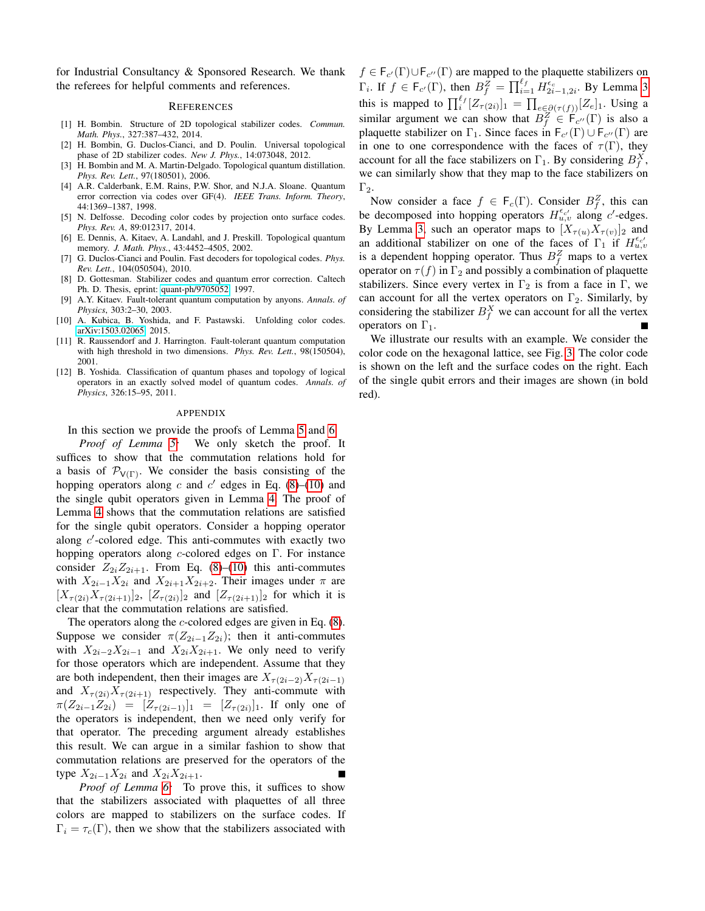for Industrial Consultancy & Sponsored Research. We thank the referees for helpful comments and references.

### **REFERENCES**

- <span id="page-5-6"></span>[1] H. Bombin. Structure of 2D topological stabilizer codes. *Commun. Math. Phys.*, 327:387–432, 2014.
- <span id="page-5-5"></span>[2] H. Bombin, G. Duclos-Cianci, and D. Poulin. Universal topological phase of 2D stabilizer codes. *New J. Phys.*, 14:073048, 2012.
- <span id="page-5-4"></span>[3] H. Bombin and M. A. Martin-Delgado. Topological quantum distillation. *Phys. Rev. Lett.*, 97(180501), 2006.
- <span id="page-5-10"></span>[4] A.R. Calderbank, E.M. Rains, P.W. Shor, and N.J.A. Sloane. Quantum error correction via codes over GF(4). *IEEE Trans. Inform. Theory*, 44:1369–1387, 1998.
- <span id="page-5-8"></span>[5] N. Delfosse. Decoding color codes by projection onto surface codes. *Phys. Rev. A*, 89:012317, 2014.
- <span id="page-5-1"></span>[6] E. Dennis, A. Kitaev, A. Landahl, and J. Preskill. Topological quantum memory. *J. Math. Phys.*, 43:4452–4505, 2002.
- <span id="page-5-2"></span>[7] G. Duclos-Cianci and Poulin. Fast decoders for topological codes. *Phys. Rev. Lett.*, 104(050504), 2010.
- <span id="page-5-11"></span>[8] D. Gottesman. Stabilizer codes and quantum error correction. Caltech Ph. D. Thesis, eprint: [quant-ph/9705052,](http://arxiv.org/abs/quant-ph/9705052) 1997.
- <span id="page-5-0"></span>[9] A.Y. Kitaev. Fault-tolerant quantum computation by anyons. *Annals. of Physics*, 303:2–30, 2003.
- <span id="page-5-9"></span>[10] A. Kubica, B. Yoshida, and F. Pastawski. Unfolding color codes. [arXiv:1503.02065,](http://arxiv.org/abs/1503.02065) 2015.
- <span id="page-5-3"></span>[11] R. Raussendorf and J. Harrington. Fault-tolerant quantum computation with high threshold in two dimensions. *Phys. Rev. Lett.*, 98(150504), 2001.
- <span id="page-5-7"></span>[12] B. Yoshida. Classification of quantum phases and topology of logical operators in an exactly solved model of quantum codes. *Annals. of Physics*, 326:15–95, 2011.

#### APPENDIX

In this section we provide the proofs of Lemma [5](#page-4-5) and [6.](#page-4-4)

*Proof of Lemma [5:](#page-4-5)* We only sketch the proof. It suffices to show that the commutation relations hold for a basis of  $\mathcal{P}_{V(\Gamma)}$ . We consider the basis consisting of the hopping operators along c and  $c'$  edges in Eq. [\(8\)](#page-3-3)–[\(10\)](#page-3-4) and the single qubit operators given in Lemma [4.](#page-4-0) The proof of Lemma [4](#page-4-0) shows that the commutation relations are satisfied for the single qubit operators. Consider a hopping operator along  $c'$ -colored edge. This anti-commutes with exactly two hopping operators along c-colored edges on Γ. For instance consider  $Z_{2i}Z_{2i+1}$ . From Eq. [\(8\)](#page-3-3)–[\(10\)](#page-3-4) this anti-commutes with  $X_{2i-1}X_{2i}$  and  $X_{2i+1}X_{2i+2}$ . Their images under  $\pi$  are  $[X_{\tau(2i)}X_{\tau(2i+1)}]_2$ ,  $[Z_{\tau(2i)}]_2$  and  $[Z_{\tau(2i+1)}]_2$  for which it is clear that the commutation relations are satisfied.

The operators along the  $c$ -colored edges are given in Eq.  $(8)$ . Suppose we consider  $\pi(Z_{2i-1}Z_{2i})$ ; then it anti-commutes with  $X_{2i-2}X_{2i-1}$  and  $X_{2i}X_{2i+1}$ . We only need to verify for those operators which are independent. Assume that they are both independent, then their images are  $X_{\tau(2i-2)}X_{\tau(2i-1)}$ and  $X_{\tau(2i)}X_{\tau(2i+1)}$  respectively. They anti-commute with  $\pi(Z_{2i-1}Z_{2i}) = [Z_{\tau(2i-1)}]_1 = [Z_{\tau(2i)}]_1$ . If only one of the operators is independent, then we need only verify for that operator. The preceding argument already establishes this result. We can argue in a similar fashion to show that commutation relations are preserved for the operators of the type  $X_{2i-1}X_{2i}$  and  $X_{2i}X_{2i+1}$ .

*Proof of Lemma [6:](#page-4-4)* To prove this, it suffices to show that the stabilizers associated with plaquettes of all three colors are mapped to stabilizers on the surface codes. If  $\Gamma_i = \tau_c(\Gamma)$ , then we show that the stabilizers associated with

 $f \in F_{c'}(\Gamma) \cup F_{c''}(\Gamma)$  are mapped to the plaquette stabilizers on  $\Gamma_i$ . If  $f \in \mathsf{F}_{c'}(\Gamma)$ , then  $B_f^{\mathcal{Z}} = \prod_{i=1}^{\ell_f} H_{2i-1,2i}^{\epsilon_c}$ . By Lemma [3](#page-3-1) this is mapped to  $\prod_{i=1}^{\ell_f} [Z_{\tau(2i)}]_1 = \prod_{e \in \partial(\tau(f))} [Z_e]_1$ . Using a similar argument we can show that  $B_f^Z \in \mathsf{F}_{c''}(\Gamma)$  is also a plaquette stabilizer on  $\Gamma_1$ . Since faces in  $F_{c'}(\Gamma) \cup F_{c''}(\Gamma)$  are in one to one correspondence with the faces of  $\tau(\Gamma)$ , they account for all the face stabilizers on  $\Gamma_1$ . By considering  $B_f^X$ , we can similarly show that they map to the face stabilizers on  $\Gamma_2$ .

Now consider a face  $f \in \mathsf{F}_c(\Gamma)$ . Consider  $B_f^Z$ , this can be decomposed into hopping operators  $H_{u,v}^{\epsilon_{c'}}$  along c'-edges. By Lemma [3,](#page-3-1) such an operator maps to  $[X_{\tau(u)}X_{\tau(v)}]_2$  and an additional stabilizer on one of the faces of  $\Gamma_1$  if  $H_{u,v}^{\epsilon_{c'}}$ is a dependent hopping operator. Thus  $B_f^Z$  maps to a vertex operator on  $\tau(f)$  in  $\Gamma_2$  and possibly a combination of plaquette stabilizers. Since every vertex in  $\Gamma_2$  is from a face in  $\Gamma$ , we can account for all the vertex operators on  $\Gamma_2$ . Similarly, by considering the stabilizer  $B_f^X$  we can account for all the vertex operators on  $\Gamma_1$ .

We illustrate our results with an example. We consider the color code on the hexagonal lattice, see Fig. [3.](#page-6-0) The color code is shown on the left and the surface codes on the right. Each of the single qubit errors and their images are shown (in bold red).